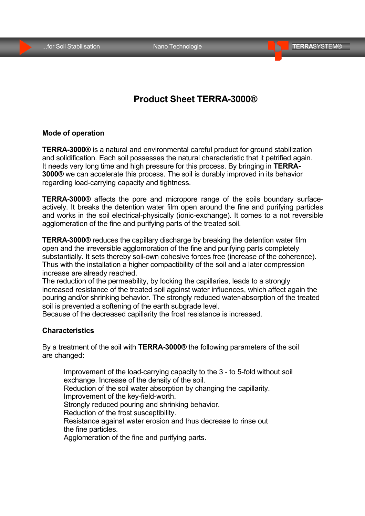# **Product Sheet TERRA-3000®**

## **Mode of operation**

**TERRA-3000®** is a natural and environmental careful product for ground stabilization and solidification. Each soil possesses the natural characteristic that it petrified again. It needs very long time and high pressure for this process. By bringing in **TERRA-3000®** we can accelerate this process. The soil is durably improved in its behavior regarding load-carrying capacity and tightness.

**TERRA-3000®** affects the pore and micropore range of the soils boundary surfaceactively. It breaks the detention water film open around the fine and purifying particles and works in the soil electrical-physically (ionic-exchange). It comes to a not reversible agglomeration of the fine and purifying parts of the treated soil.

**TERRA-3000®** reduces the capillary discharge by breaking the detention water film open and the irreversible agglomoration of the fine and purifying parts completely substantially. It sets thereby soil-own cohesive forces free (increase of the coherence). Thus with the installation a higher compactibility of the soil and a later compression increase are already reached.

The reduction of the permeability, by locking the capillaries, leads to a strongly increased resistance of the treated soil against water influences, which affect again the pouring and/or shrinking behavior. The strongly reduced water-absorption of the treated soil is prevented a softening of the earth subgrade level.

Because of the decreased capillarity the frost resistance is increased.

#### **Characteristics**

By a treatment of the soil with **TERRA-3000®** the following parameters of the soil are changed:

Improvement of the load-carrying capacity to the 3 - to 5-fold without soil exchange. Increase of the density of the soil. Reduction of the soil water absorption by changing the capillarity. Improvement of the key-field-worth. Strongly reduced pouring and shrinking behavior. Reduction of the frost susceptibility. Resistance against water erosion and thus decrease to rinse out the fine particles. Agglomeration of the fine and purifying parts.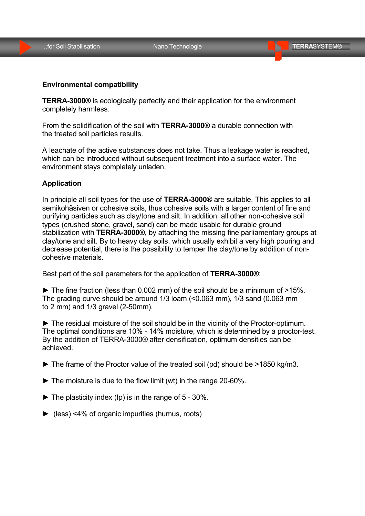### **Environmental compatibility**

**TERRA-3000®** is ecologically perfectly and their application for the environment completely harmless.

From the solidification of the soil with **TERRA-3000®** a durable connection with the treated soil particles results.

A leachate of the active substances does not take. Thus a leakage water is reached, which can be introduced without subsequent treatment into a surface water. The environment stays completely unladen.

#### **Application**

In principle all soil types for the use of **TERRA-3000®** are suitable. This applies to all semikohäsiven or cohesive soils, thus cohesive soils with a larger content of fine and purifying particles such as clay/tone and silt. In addition, all other non-cohesive soil types (crushed stone, gravel, sand) can be made usable for durable ground stabilization with **TERRA-3000®**, by attaching the missing fine parliamentary groups at clay/tone and silt. By to heavy clay soils, which usually exhibit a very high pouring and decrease potential, there is the possibility to temper the clay/tone by addition of noncohesive materials.

Best part of the soil parameters for the application of **TERRA-3000®**:

 $\blacktriangleright$  The fine fraction (less than 0.002 mm) of the soil should be a minimum of  $>15\%$ . The grading curve should be around 1/3 loam (<0.063 mm), 1/3 sand (0.063 mm to 2 mm) and 1/3 gravel (2-50mm).

► The residual moisture of the soil should be in the vicinity of the Proctor-optimum. The optimal conditions are 10% - 14% moisture, which is determined by a proctor-test. By the addition of TERRA-3000® after densification, optimum densities can be achieved.

- ► The frame of the Proctor value of the treated soil (pd) should be >1850 kg/m3.
- $\blacktriangleright$  The moisture is due to the flow limit (wt) in the range 20-60%.
- $\blacktriangleright$  The plasticity index (Ip) is in the range of 5 30%.
- ► (less) <4% of organic impurities (humus, roots)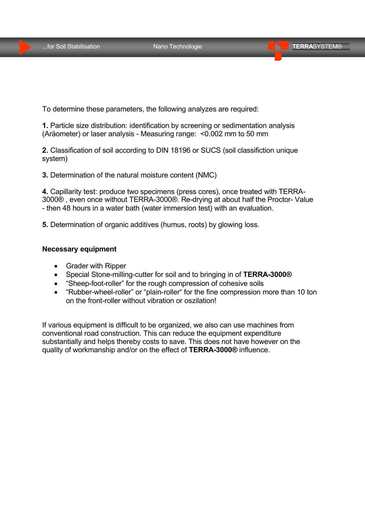To determine these parameters, the following analyzes are required:

**1.** Particle size distribution: identification by screening or sedimentation analysis (Aräometer) or laser analysis - Measuring range: <0.002 mm to 50 mm

**2.** Classification of soil according to DIN 18196 or SUCS (soil classifiction unique system)

**3.** Determination of the natural moisture content (NMC)

**4.** Capillarity test: produce two specimens (press cores), once treated with TERRA-3000® , even once without TERRA-3000®. Re-drying at about half the Proctor- Value - then 48 hours in a water bath (water immersion test) with an evaluation.

**5.** Determination of organic additives (humus, roots) by glowing loss.

### **Necessary equipment**

- Grader with Ripper
- Special Stone-milling-cutter for soil and to bringing in of **TERRA-3000®**
- "Sheep-foot-roller" for the rough compression of cohesive soils
- "Rubber-wheel-roller" or "plain-roller" for the fine compression more than 10 ton on the front-roller without vibration or oszilation!

If various equipment is difficult to be organized, we also can use machines from conventional road construction. This can reduce the equipment expenditure substantially and helps thereby costs to save. This does not have however on the quality of workmanship and/or on the effect of **TERRA-3000®** influence.